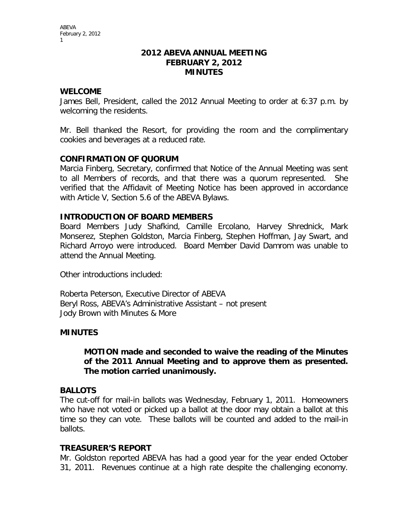#### **2012 ABEVA ANNUAL MEETING FEBRUARY 2, 2012 MINUTES**

### **WELCOME**

James Bell, President, called the 2012 Annual Meeting to order at 6:37 p.m. by welcoming the residents.

Mr. Bell thanked the Resort, for providing the room and the complimentary cookies and beverages at a reduced rate.

## **CONFIRMATION OF QUORUM**

Marcia Finberg, Secretary, confirmed that Notice of the Annual Meeting was sent to all Members of records, and that there was a quorum represented. She verified that the Affidavit of Meeting Notice has been approved in accordance with Article V, Section 5.6 of the ABEVA Bylaws.

## **INTRODUCTION OF BOARD MEMBERS**

Board Members Judy Shafkind, Camille Ercolano, Harvey Shrednick, Mark Monserez, Stephen Goldston, Marcia Finberg, Stephen Hoffman, Jay Swart, and Richard Arroyo were introduced. Board Member David Damrom was unable to attend the Annual Meeting.

Other introductions included:

Roberta Peterson, Executive Director of ABEVA Beryl Ross, ABEVA's Administrative Assistant – not present Jody Brown with Minutes & More

#### **MINUTES**

#### **MOTION made and seconded to waive the reading of the Minutes of the 2011 Annual Meeting and to approve them as presented. The motion carried unanimously.**

#### **BALLOTS**

The cut-off for mail-in ballots was Wednesday, February 1, 2011. Homeowners who have not voted or picked up a ballot at the door may obtain a ballot at this time so they can vote. These ballots will be counted and added to the mail-in ballots.

#### **TREASURER'S REPORT**

Mr. Goldston reported ABEVA has had a good year for the year ended October 31, 2011. Revenues continue at a high rate despite the challenging economy.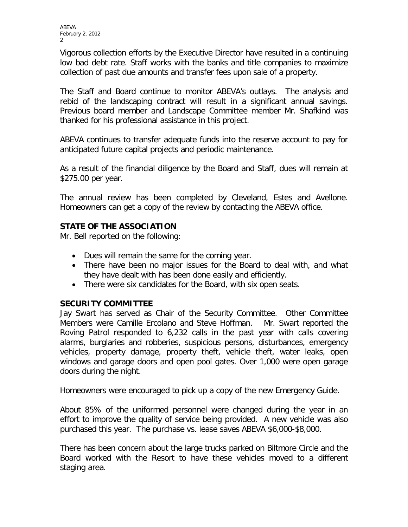Vigorous collection efforts by the Executive Director have resulted in a continuing low bad debt rate. Staff works with the banks and title companies to maximize collection of past due amounts and transfer fees upon sale of a property.

The Staff and Board continue to monitor ABEVA's outlays. The analysis and rebid of the landscaping contract will result in a significant annual savings. Previous board member and Landscape Committee member Mr. Shafkind was thanked for his professional assistance in this project.

ABEVA continues to transfer adequate funds into the reserve account to pay for anticipated future capital projects and periodic maintenance.

As a result of the financial diligence by the Board and Staff, dues will remain at \$275.00 per year.

The annual review has been completed by Cleveland, Estes and Avellone. Homeowners can get a copy of the review by contacting the ABEVA office.

# **STATE OF THE ASSOCIATION**

Mr. Bell reported on the following:

- Dues will remain the same for the coming year.
- There have been no major issues for the Board to deal with, and what they have dealt with has been done easily and efficiently.
- There were six candidates for the Board, with six open seats.

## **SECURITY COMMITTEE**

Jay Swart has served as Chair of the Security Committee. Other Committee Members were Camille Ercolano and Steve Hoffman. Mr. Swart reported the Roving Patrol responded to 6,232 calls in the past year with calls covering alarms, burglaries and robberies, suspicious persons, disturbances, emergency vehicles, property damage, property theft, vehicle theft, water leaks, open windows and garage doors and open pool gates. Over 1,000 were open garage doors during the night.

Homeowners were encouraged to pick up a copy of the new Emergency Guide.

About 85% of the uniformed personnel were changed during the year in an effort to improve the quality of service being provided. A new vehicle was also purchased this year. The purchase vs. lease saves ABEVA \$6,000-\$8,000.

There has been concern about the large trucks parked on Biltmore Circle and the Board worked with the Resort to have these vehicles moved to a different staging area.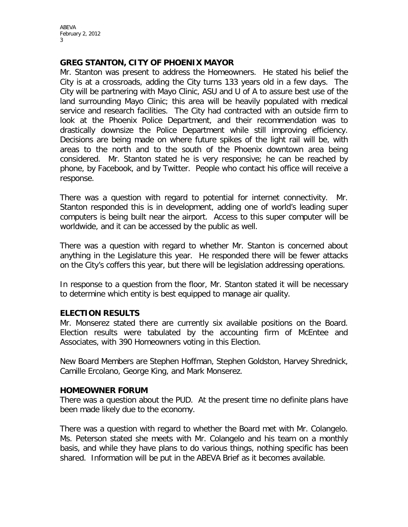#### **GREG STANTON, CITY OF PHOENIX MAYOR**

Mr. Stanton was present to address the Homeowners. He stated his belief the City is at a crossroads, adding the City turns 133 years old in a few days. The City will be partnering with Mayo Clinic, ASU and U of A to assure best use of the land surrounding Mayo Clinic; this area will be heavily populated with medical service and research facilities. The City had contracted with an outside firm to look at the Phoenix Police Department, and their recommendation was to drastically downsize the Police Department while still improving efficiency. Decisions are being made on where future spikes of the light rail will be, with areas to the north and to the south of the Phoenix downtown area being considered. Mr. Stanton stated he is very responsive; he can be reached by phone, by Facebook, and by Twitter. People who contact his office will receive a response.

There was a question with regard to potential for internet connectivity. Mr. Stanton responded this is in development, adding one of world's leading super computers is being built near the airport. Access to this super computer will be worldwide, and it can be accessed by the public as well.

There was a question with regard to whether Mr. Stanton is concerned about anything in the Legislature this year. He responded there will be fewer attacks on the City's coffers this year, but there will be legislation addressing operations.

In response to a question from the floor, Mr. Stanton stated it will be necessary to determine which entity is best equipped to manage air quality.

#### **ELECTION RESULTS**

Mr. Monserez stated there are currently six available positions on the Board. Election results were tabulated by the accounting firm of McEntee and Associates, with 390 Homeowners voting in this Election.

New Board Members are Stephen Hoffman, Stephen Goldston, Harvey Shrednick, Camille Ercolano, George King, and Mark Monserez.

#### **HOMEOWNER FORUM**

There was a question about the PUD. At the present time no definite plans have been made likely due to the economy.

There was a question with regard to whether the Board met with Mr. Colangelo. Ms. Peterson stated she meets with Mr. Colangelo and his team on a monthly basis, and while they have plans to do various things, nothing specific has been shared. Information will be put in the ABEVA Brief as it becomes available.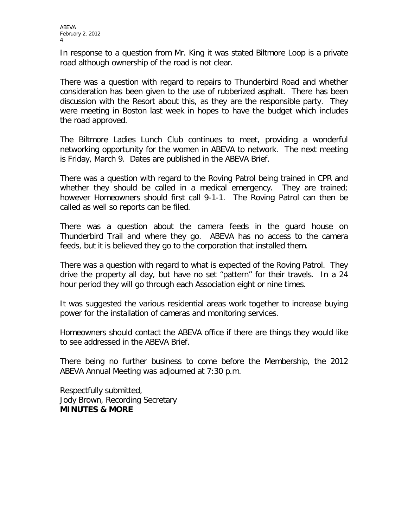In response to a question from Mr. King it was stated Biltmore Loop is a private road although ownership of the road is not clear.

There was a question with regard to repairs to Thunderbird Road and whether consideration has been given to the use of rubberized asphalt. There has been discussion with the Resort about this, as they are the responsible party. They were meeting in Boston last week in hopes to have the budget which includes the road approved.

The Biltmore Ladies Lunch Club continues to meet, providing a wonderful networking opportunity for the women in ABEVA to network. The next meeting is Friday, March 9. Dates are published in the ABEVA Brief.

There was a question with regard to the Roving Patrol being trained in CPR and whether they should be called in a medical emergency. They are trained; however Homeowners should first call 9-1-1. The Roving Patrol can then be called as well so reports can be filed.

There was a question about the camera feeds in the guard house on Thunderbird Trail and where they go. ABEVA has no access to the camera feeds, but it is believed they go to the corporation that installed them.

There was a question with regard to what is expected of the Roving Patrol. They drive the property all day, but have no set "pattern" for their travels. In a 24 hour period they will go through each Association eight or nine times.

It was suggested the various residential areas work together to increase buying power for the installation of cameras and monitoring services.

Homeowners should contact the ABEVA office if there are things they would like to see addressed in the ABEVA Brief.

There being no further business to come before the Membership, the 2012 ABEVA Annual Meeting was adjourned at 7:30 p.m.

Respectfully submitted, Jody Brown, Recording Secretary **MINUTES & MORE**